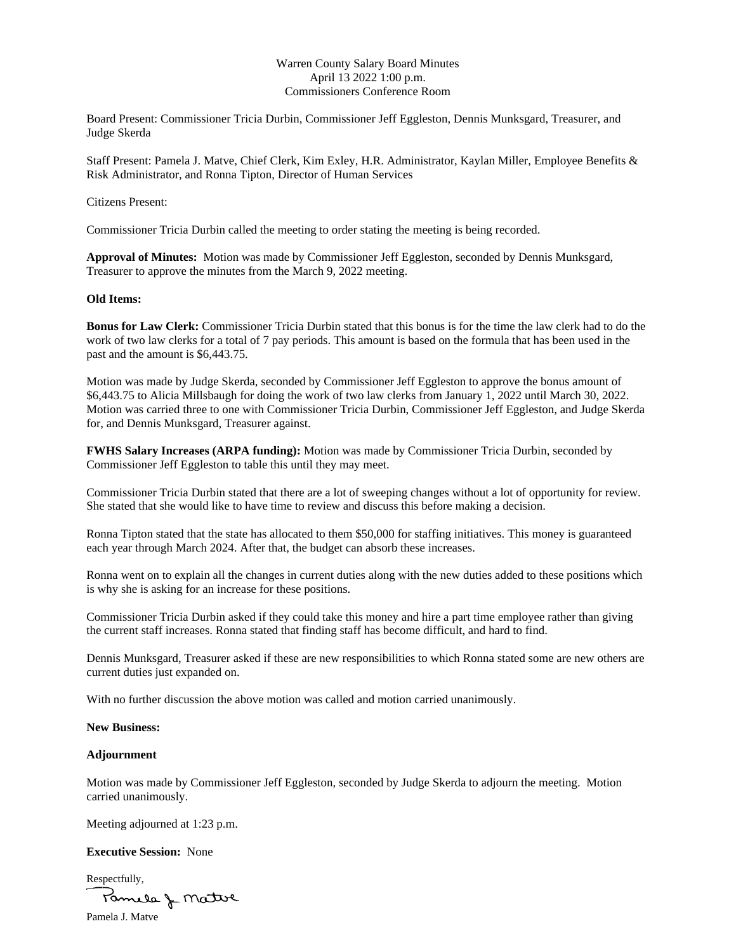# Warren County Salary Board Minutes April 13 2022 1:00 p.m. Commissioners Conference Room

Board Present: Commissioner Tricia Durbin, Commissioner Jeff Eggleston, Dennis Munksgard, Treasurer, and Judge Skerda

Staff Present: Pamela J. Matve, Chief Clerk, Kim Exley, H.R. Administrator, Kaylan Miller, Employee Benefits & Risk Administrator, and Ronna Tipton, Director of Human Services

#### Citizens Present:

Commissioner Tricia Durbin called the meeting to order stating the meeting is being recorded.

**Approval of Minutes:** Motion was made by Commissioner Jeff Eggleston, seconded by Dennis Munksgard, Treasurer to approve the minutes from the March 9, 2022 meeting.

### **Old Items:**

**Bonus for Law Clerk:** Commissioner Tricia Durbin stated that this bonus is for the time the law clerk had to do the work of two law clerks for a total of 7 pay periods. This amount is based on the formula that has been used in the past and the amount is \$6,443.75.

Motion was made by Judge Skerda, seconded by Commissioner Jeff Eggleston to approve the bonus amount of \$6,443.75 to Alicia Millsbaugh for doing the work of two law clerks from January 1, 2022 until March 30, 2022. Motion was carried three to one with Commissioner Tricia Durbin, Commissioner Jeff Eggleston, and Judge Skerda for, and Dennis Munksgard, Treasurer against.

**FWHS Salary Increases (ARPA funding):** Motion was made by Commissioner Tricia Durbin, seconded by Commissioner Jeff Eggleston to table this until they may meet.

Commissioner Tricia Durbin stated that there are a lot of sweeping changes without a lot of opportunity for review. She stated that she would like to have time to review and discuss this before making a decision.

Ronna Tipton stated that the state has allocated to them \$50,000 for staffing initiatives. This money is guaranteed each year through March 2024. After that, the budget can absorb these increases.

Ronna went on to explain all the changes in current duties along with the new duties added to these positions which is why she is asking for an increase for these positions.

Commissioner Tricia Durbin asked if they could take this money and hire a part time employee rather than giving the current staff increases. Ronna stated that finding staff has become difficult, and hard to find.

Dennis Munksgard, Treasurer asked if these are new responsibilities to which Ronna stated some are new others are current duties just expanded on.

With no further discussion the above motion was called and motion carried unanimously.

## **New Business:**

#### **Adjournment**

Motion was made by Commissioner Jeff Eggleston, seconded by Judge Skerda to adjourn the meeting. Motion carried unanimously.

Meeting adjourned at 1:23 p.m.

## **Executive Session:** None

Respectfully, Pamela & Mattie

Pamela J. Matve